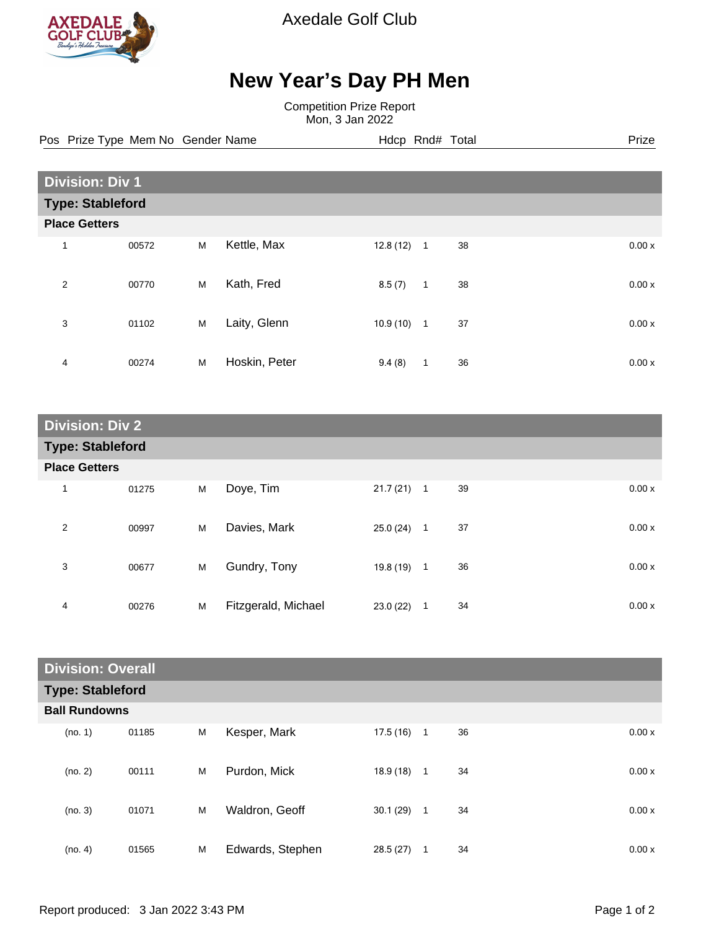

Axedale Golf Club

## **New Year's Day PH Men**

Competition Prize Report Mon, 3 Jan 2022

Pos Prize Type Mem No Gender Name **Hdcp Rnd# Total** Prize Prize

| <b>Division: Div 1</b>  |       |   |               |          |                |    |       |
|-------------------------|-------|---|---------------|----------|----------------|----|-------|
| <b>Type: Stableford</b> |       |   |               |          |                |    |       |
| <b>Place Getters</b>    |       |   |               |          |                |    |       |
| $\mathbf{1}$            | 00572 | M | Kettle, Max   | 12.8(12) | $\overline{1}$ | 38 | 0.00x |
| 2                       | 00770 | M | Kath, Fred    | 8.5(7)   | 1              | 38 | 0.00x |
| 3                       | 01102 | M | Laity, Glenn  | 10.9(10) | $\mathbf{1}$   | 37 | 0.00x |
| 4                       | 00274 | M | Hoskin, Peter | 9.4(8)   | $\mathbf{1}$   | 36 | 0.00x |

| <b>Division: Div 2</b>  |       |   |                     |              |   |    |  |       |
|-------------------------|-------|---|---------------------|--------------|---|----|--|-------|
| <b>Type: Stableford</b> |       |   |                     |              |   |    |  |       |
| <b>Place Getters</b>    |       |   |                     |              |   |    |  |       |
| 1                       | 01275 | M | Doye, Tim           | $21.7(21)$ 1 |   | 39 |  | 0.00x |
| $\overline{2}$          | 00997 | M | Davies, Mark        | 25.0(24)     | 1 | 37 |  | 0.00x |
| 3                       | 00677 | M | Gundry, Tony        | $19.8(19)$ 1 |   | 36 |  | 0.00x |
| 4                       | 00276 | M | Fitzgerald, Michael | 23.0(22)     | 1 | 34 |  | 0.00x |

| <b>Division: Overall</b> |                         |   |                  |           |              |    |       |  |
|--------------------------|-------------------------|---|------------------|-----------|--------------|----|-------|--|
|                          | <b>Type: Stableford</b> |   |                  |           |              |    |       |  |
|                          | <b>Ball Rundowns</b>    |   |                  |           |              |    |       |  |
| (no. 1)                  | 01185                   | M | Kesper, Mark     | 17.5 (16) | $\mathbf{1}$ | 36 | 0.00x |  |
| (no. 2)                  | 00111                   | M | Purdon, Mick     | 18.9(18)  | $\mathbf{1}$ | 34 | 0.00x |  |
| (no. 3)                  | 01071                   | M | Waldron, Geoff   | 30.1(29)  | $\mathbf{1}$ | 34 | 0.00x |  |
| (no. 4)                  | 01565                   | M | Edwards, Stephen | 28.5(27)  | 1            | 34 | 0.00x |  |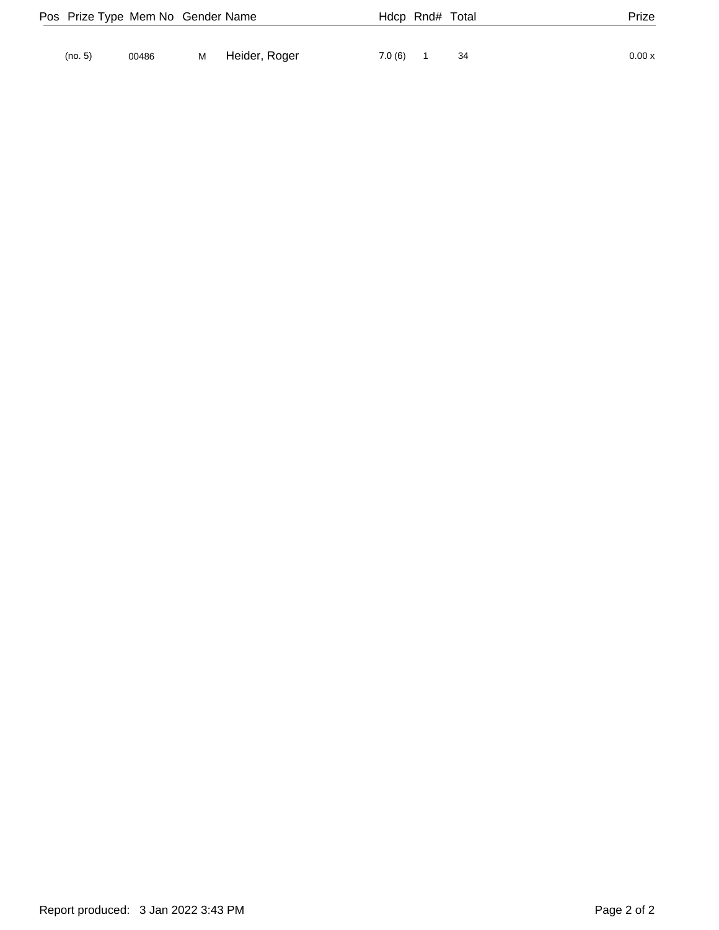|         | Pos Prize Type Mem No Gender Name |   |               |        | Hdcp Rnd# Total | Prize  |
|---------|-----------------------------------|---|---------------|--------|-----------------|--------|
|         |                                   |   |               |        |                 |        |
| (no. 5) | 00486                             | M | Heider, Roger | 7.0(6) | 34              | 0.00 x |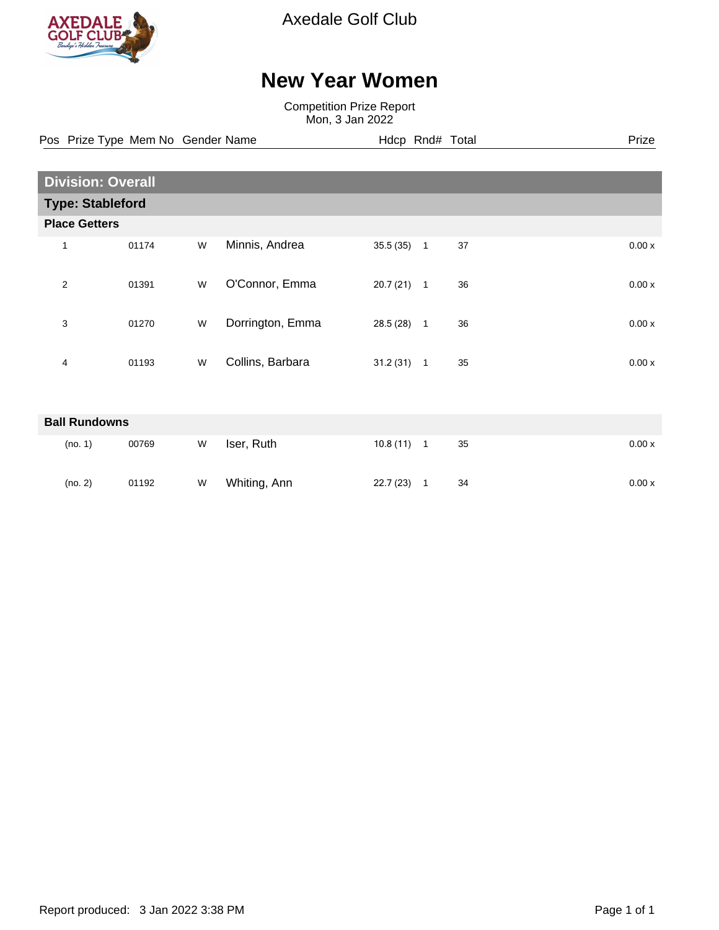

Axedale Golf Club

## **New Year Women**

Competition Prize Report Mon, 3 Jan 2022

Pos Prize Type Mem No Gender Name **Hdcp Rnd# Total** Prize Prize

|                         | <b>Division: Overall</b> |   |                  |              |                            |    |  |       |  |
|-------------------------|--------------------------|---|------------------|--------------|----------------------------|----|--|-------|--|
| <b>Type: Stableford</b> |                          |   |                  |              |                            |    |  |       |  |
| <b>Place Getters</b>    |                          |   |                  |              |                            |    |  |       |  |
| 1                       | 01174                    | W | Minnis, Andrea   | 35.5(35)     | $\overline{1}$             | 37 |  | 0.00x |  |
| $\overline{2}$          | 01391                    | W | O'Connor, Emma   | 20.7(21)     | $\overline{\phantom{0}}$ 1 | 36 |  | 0.00x |  |
| 3                       | 01270                    | W | Dorrington, Emma | 28.5 (28)    | $\overline{1}$             | 36 |  | 0.00x |  |
| 4                       | 01193                    | W | Collins, Barbara | $31.2(31)$ 1 |                            | 35 |  | 0.00x |  |
|                         |                          |   |                  |              |                            |    |  |       |  |
| <b>Ball Rundowns</b>    |                          |   |                  |              |                            |    |  |       |  |

| (no. 1) | 00769 | W | Iser, Ruth   | 10.8(11) | 35 | 0.00x |
|---------|-------|---|--------------|----------|----|-------|
| (no. 2) | 01192 | W | Whiting, Ann | 22.7(23) | 34 | 0.00x |